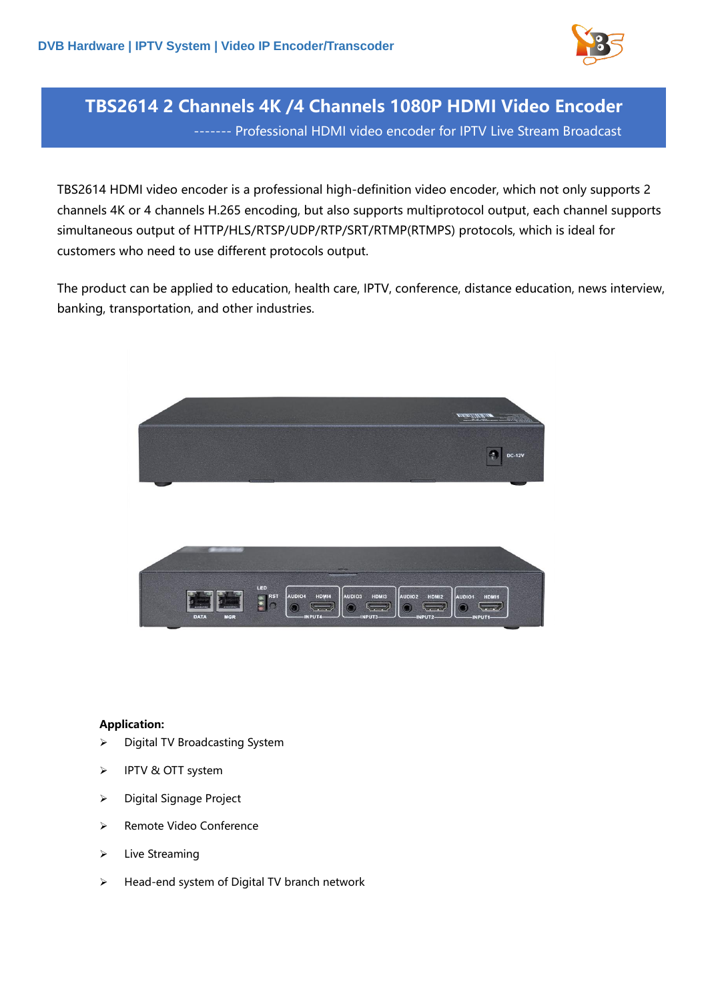

# **TBS2614 2 Channels 4K /4 Channels 1080P HDMI Video Encoder** ------- Professional HDMI video encoder for IPTV Live Stream Broadcast

TBS2614 HDMI video encoder is a professional high-definition video encoder, which not only supports 2 channels 4K or 4 channels H.265 encoding, but also supports multiprotocol output, each channel supports simultaneous output of HTTP/HLS/RTSP/UDP/RTP/SRT/RTMP(RTMPS) protocols, which is ideal for customers who need to use different protocols output.

The product can be applied to education, health care, IPTV, conference, distance education, news interview, banking, transportation, and other industries.



### **Application:**

- ➢ Digital TV Broadcasting System
- ➢ IPTV & OTT system
- ➢ Digital Signage Project
- ➢ Remote Video Conference
- ➢ Live Streaming
- ➢ Head-end system of Digital TV branch network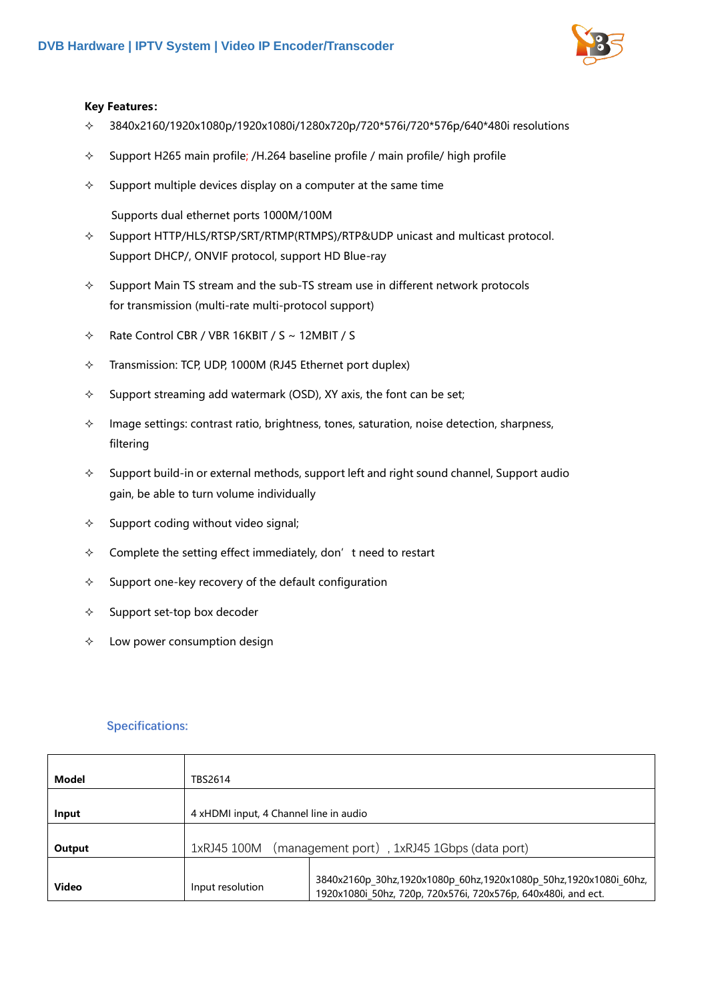

#### **Key Features:**

- $\div$  3840x2160/1920x1080p/1920x1080i/1280x720p/720\*576i/720\*576p/640\*480i resolutions
- $\div$  Support H265 main profile; /H.264 baseline profile / main profile/ high profile
- $\Diamond$  Support multiple devices display on a computer at the same time

Supports dual ethernet ports 1000M/100M

- $\Diamond$  Support HTTP/HLS/RTSP/SRT/RTMP(RTMPS)/RTP&UDP unicast and multicast protocol. Support DHCP/, ONVIF protocol, support HD Blue-ray
- $\Diamond$  Support Main TS stream and the sub-TS stream use in different network protocols for transmission (multi-rate multi-protocol support)
- $\div$  Rate Control CBR / VBR 16KBIT / S ~ 12MBIT / S
- $\div$  Transmission: TCP, UDP, 1000M (RJ45 Ethernet port duplex)
- $\Diamond$  Support streaming add watermark (OSD), XY axis, the font can be set;
- $\Diamond$  Image settings: contrast ratio, brightness, tones, saturation, noise detection, sharpness, filtering
- $\Diamond$  Support build-in or external methods, support left and right sound channel, Support audio gain, be able to turn volume individually
- $\Diamond$  Support coding without video signal;
- $\Diamond$  Complete the setting effect immediately, don't need to restart
- $\Diamond$  Support one-key recovery of the default configuration
- $\diamond$  Support set-top box decoder
- $\Diamond$  Low power consumption design

#### **Specifications:**

| Model        | TBS2614                                                    |                                                                                                                                   |
|--------------|------------------------------------------------------------|-----------------------------------------------------------------------------------------------------------------------------------|
|              |                                                            |                                                                                                                                   |
| Input        | 4 xHDMI input, 4 Channel line in audio                     |                                                                                                                                   |
|              |                                                            |                                                                                                                                   |
| Output       | (management port), 1xRJ45 1Gbps (data port)<br>1xRJ45 100M |                                                                                                                                   |
|              |                                                            |                                                                                                                                   |
| <b>Video</b> | Input resolution                                           | 3840x2160p 30hz,1920x1080p 60hz,1920x1080p 50hz,1920x1080i 60hz,<br>1920x1080i 50hz, 720p, 720x576i, 720x576p, 640x480i, and ect. |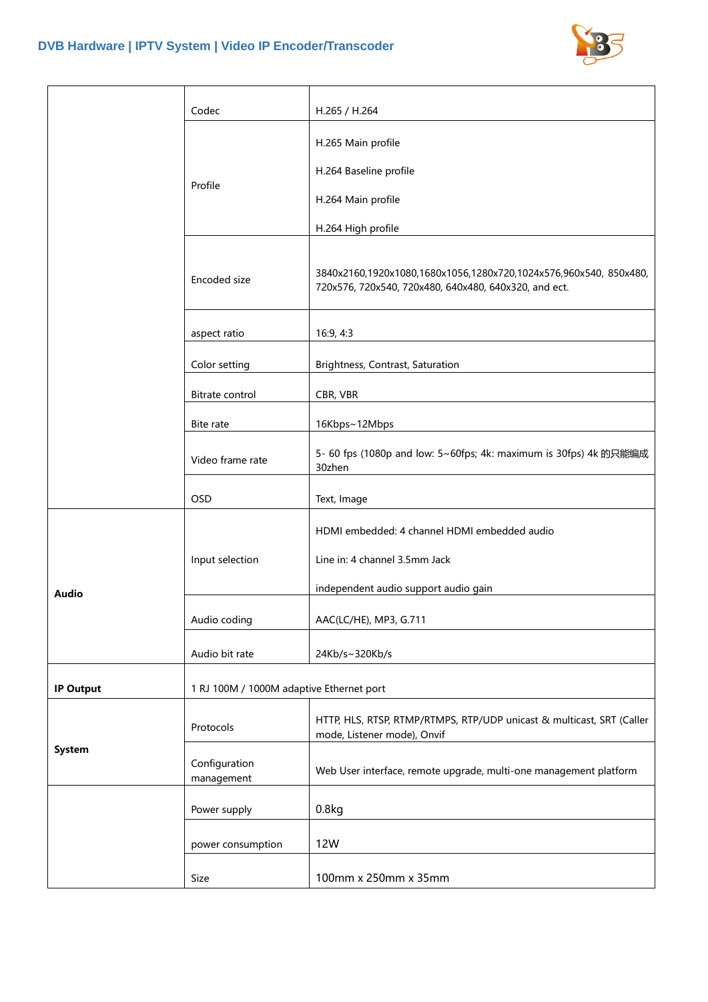

|                  | Codec                                    | H.265 / H.264                                                                                                              |
|------------------|------------------------------------------|----------------------------------------------------------------------------------------------------------------------------|
|                  | Profile                                  | H.265 Main profile                                                                                                         |
|                  |                                          | H.264 Baseline profile                                                                                                     |
|                  |                                          | H.264 Main profile                                                                                                         |
|                  |                                          | H.264 High profile                                                                                                         |
|                  | Encoded size                             | 3840x2160,1920x1080,1680x1056,1280x720,1024x576,960x540, 850x480,<br>720x576, 720x540, 720x480, 640x480, 640x320, and ect. |
|                  | aspect ratio                             | 16:9, 4:3                                                                                                                  |
|                  | Color setting                            | Brightness, Contrast, Saturation                                                                                           |
|                  | Bitrate control                          | CBR, VBR                                                                                                                   |
|                  | Bite rate                                | 16Kbps~12Mbps                                                                                                              |
|                  | Video frame rate                         | 5- 60 fps (1080p and low: 5~60fps; 4k: maximum is 30fps) 4k 的只能编成<br>30zhen                                                |
|                  | <b>OSD</b>                               | Text, Image                                                                                                                |
| <b>Audio</b>     | Input selection                          | HDMI embedded: 4 channel HDMI embedded audio                                                                               |
|                  |                                          | Line in: 4 channel 3.5mm Jack                                                                                              |
|                  |                                          | independent audio support audio gain                                                                                       |
|                  | Audio coding                             | AAC(LC/HE), MP3, G.711                                                                                                     |
|                  | Audio bit rate                           | 24Kb/s~320Kb/s                                                                                                             |
| <b>IP Output</b> | 1 RJ 100M / 1000M adaptive Ethernet port |                                                                                                                            |
| System           | Protocols                                | HTTP, HLS, RTSP, RTMP/RTMPS, RTP/UDP unicast & multicast, SRT (Caller                                                      |
|                  | Configuration<br>management              | mode, Listener mode), Onvif<br>Web User interface, remote upgrade, multi-one management platform                           |
|                  | Power supply                             | 0.8kg                                                                                                                      |
|                  | power consumption                        | 12W                                                                                                                        |
|                  | Size                                     | 100mm x 250mm x 35mm                                                                                                       |
|                  |                                          |                                                                                                                            |